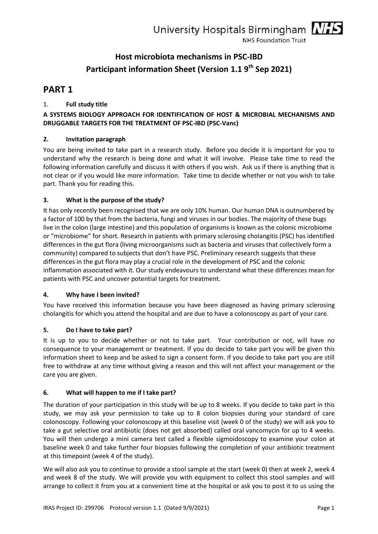

# **PART 1**

# 1. **Full study title**

# **A SYSTEMS BIOLOGY APPROACH FOR IDENTIFICATION OF HOST & MICROBIAL MECHANISMS AND DRUGGABLE TARGETS FOR THE TREATMENT OF PSC-IBD (PSC-Vanc)**

# **2. Invitation paragraph**

You are being invited to take part in a research study. Before you decide it is important for you to understand why the research is being done and what it will involve. Please take time to read the following information carefully and discuss it with others if you wish. Ask us if there is anything that is not clear or if you would like more information. Take time to decide whether or not you wish to take part. Thank you for reading this.

#### **3. What is the purpose of the study?**

It has only recently been recognised that we are only 10% human. Our human DNA is outnumbered by a factor of 100 by that from the bacteria, fungi and viruses in our bodies. The majority of these bugs live in the colon (large intestine) and this population of organisms is known as the colonic microbiome or "microbiome" for short. Research in patients with primary sclerosing cholangitis (PSC) has identified differences in the gut flora (living microorganisms such as bacteria and viruses that collectively form a community) compared to subjects that don't have PSC. Preliminary research suggests that these differences in the gut flora may play a crucial role in the development of PSC and the colonic inflammation associated with it. Our study endeavours to understand what these differences mean for patients with PSC and uncover potential targets for treatment.

#### **4. Why have I been invited?**

You have received this information because you have been diagnosed as having primary sclerosing cholangitis for which you attend the hospital and are due to have a colonoscopy as part of your care.

#### **5. Do I have to take part?**

It is up to you to decide whether or not to take part. Your contribution or not, will have no consequence to your management or treatment. If you do decide to take part you will be given this information sheet to keep and be asked to sign a consent form. If you decide to take part you are still free to withdraw at any time without giving a reason and this will not affect your management or the care you are given.

# **6. What will happen to me if I take part?**

The duration of your participation in this study will be up to 8 weeks. If you decide to take part in this study, we may ask your permission to take up to 8 colon biopsies during your standard of care colonoscopy. Following your colonoscopy at this baseline visit (week 0 of the study) we will ask you to take a gut selective oral antibiotic (does not get absorbed) called oral vancomycin for up to 4 weeks. You will then undergo a mini camera test called a flexible sigmoidoscopy to examine your colon at baseline week 0 and take further four biopsies following the completion of your antibiotic treatment at this timepoint (week 4 of the study).

We will also ask you to continue to provide a stool sample at the start (week 0) then at week 2, week 4 and week 8 of the study. We will provide you with equipment to collect this stool samples and will arrange to collect it from you at a convenient time at the hospital or ask you to post it to us using the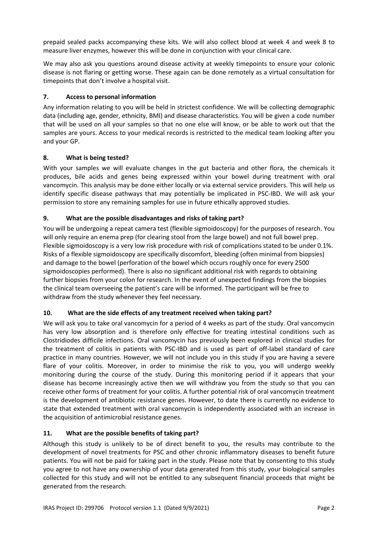prepaid sealed packs accompanying these kits. We will also collect blood at week 4 and week 8 to measure liver enzymes, however this will be done in conjunction with your clinical care.

We may also ask you questions around disease activity at weekly timepoints to ensure your colonic disease is not flaring or getting worse. These again can be done remotely as a virtual consultation for timepoints that don't involve a hospital visit.

# **7. Access to personal information**

Any information relating to you will be held in strictest confidence. We will be collecting demographic data (including age, gender, ethnicity, BMI) and disease characteristics. You will be given a code number that will be used on all your samples so that no one else will know, or be able to work out that the samples are yours. Access to your medical records is restricted to the medical team looking after you and your GP.

# **8. What is being tested?**

With your samples we will evaluate changes in the gut bacteria and other flora, the chemicals it produces, bile acids and genes being expressed within your bowel during treatment with oral vancomycin. This analysis may be done either locally or via external service providers. This will help us identify specific disease pathways that may potentially be implicated in PSC-IBD. We will ask your permission to store any remaining samples for use in future ethically approved studies.

# **9. What are the possible disadvantages and risks of taking part?**

You will be undergoing a repeat camera test (flexible sigmoidoscopy) for the purposes of research. You will only require an enema prep (for clearing stool from the large bowel) and not full bowel prep. Flexible sigmoidoscopy is a very low risk procedure with risk of complications stated to be under 0.1%. Risks of a flexible sigmoidoscopy are specifically discomfort, bleeding (often minimal from biopsies) and damage to the bowel (perforation of the bowel which occurs roughly once for every 2500 sigmoidoscopies performed). There is also no significant additional risk with regards to obtaining further biopsies from your colon for research. In the event of unexpected findings from the biopsies the clinical team overseeing the patient's care will be informed. The participant will be free to withdraw from the study whenever they feel necessary.

# **10. What are the side effects of any treatment received when taking part?**

We will ask you to take oral vancomycin for a period of 4 weeks as part of the study. Oral vancomycin has very low absorption and is therefore only effective for treating intestinal conditions such as Clostridiodes difficile infections. Oral vancomycin has previously been explored in clinical studies for the treatment of colitis in patients with PSC-IBD and is used as part of off-label standard of care practice in many countries. However, we will not include you in this study if you are having a severe flare of your colitis. Moreover, in order to minimise the risk to you, you will undergo weekly monitoring during the course of the study. During this monitoring period if it appears that your disease has become increasingly active then we will withdraw you from the study so that you can receive other forms of treatment for your colitis. A further potential risk of oral vancomycin treatment is the development of antibiotic resistance genes. However, to date there is currently no evidence to state that extended treatment with oral vancomycin is independently associated with an increase in the acquisition of antimicrobial resistance genes.

# **11. What are the possible benefits of taking part?**

Although this study is unlikely to be of direct benefit to you, the results may contribute to the development of novel treatments for PSC and other chronic inflammatory diseases to benefit future patients. You will not be paid for taking part in the study. Please note that by consenting to this study you agree to not have any ownership of your data generated from this study, your biological samples collected for this study and will not be entitled to any subsequent financial proceeds that might be generated from the research.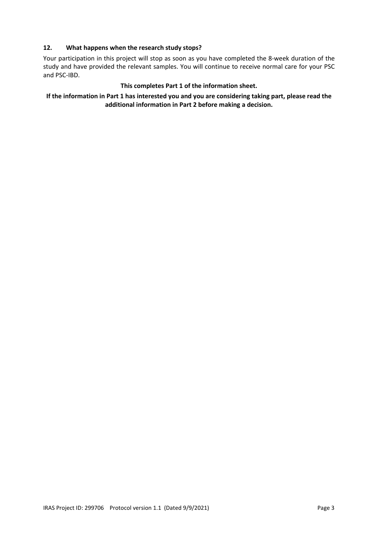# **12. What happens when the research study stops?**

Your participation in this project will stop as soon as you have completed the 8-week duration of the study and have provided the relevant samples. You will continue to receive normal care for your PSC and PSC-IBD.

#### **This completes Part 1 of the information sheet.**

# **If the information in Part 1 has interested you and you are considering taking part, please read the additional information in Part 2 before making a decision.**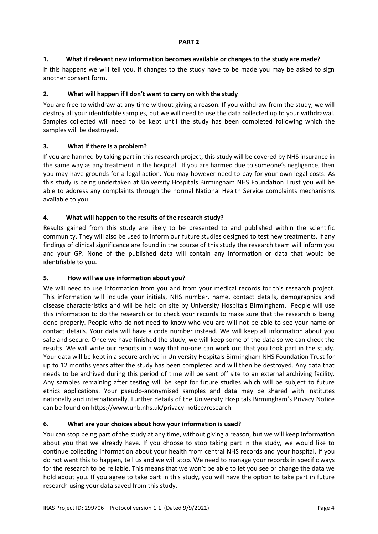# **1. What if relevant new information becomes available or changes to the study are made?**

If this happens we will tell you. If changes to the study have to be made you may be asked to sign another consent form.

# **2. What will happen if I don't want to carry on with the study**

You are free to withdraw at any time without giving a reason. If you withdraw from the study, we will destroy all your identifiable samples, but we will need to use the data collected up to your withdrawal. Samples collected will need to be kept until the study has been completed following which the samples will be destroyed.

# **3. What if there is a problem?**

If you are harmed by taking part in this research project, this study will be covered by NHS insurance in the same way as any treatment in the hospital. If you are harmed due to someone's negligence, then you may have grounds for a legal action. You may however need to pay for your own legal costs. As this study is being undertaken at University Hospitals Birmingham NHS Foundation Trust you will be able to address any complaints through the normal National Health Service complaints mechanisms available to you.

# **4. What will happen to the results of the research study?**

Results gained from this study are likely to be presented to and published within the scientific community. They will also be used to inform our future studies designed to test new treatments. If any findings of clinical significance are found in the course of this study the research team will inform you and your GP. None of the published data will contain any information or data that would be identifiable to you.

# **5. How will we use information about you?**

We will need to use information from you and from your medical records for this research project. This information will include your initials, NHS number, name, contact details, demographics and disease characteristics and will be held on site by University Hospitals Birmingham. People will use this information to do the research or to check your records to make sure that the research is being done properly. People who do not need to know who you are will not be able to see your name or contact details. Your data will have a code number instead. We will keep all information about you safe and secure. Once we have finished the study, we will keep some of the data so we can check the results. We will write our reports in a way that no-one can work out that you took part in the study. Your data will be kept in a secure archive in University Hospitals Birmingham NHS Foundation Trust for up to 12 months years after the study has been completed and will then be destroyed. Any data that needs to be archived during this period of time will be sent off site to an external archiving facility. Any samples remaining after testing will be kept for future studies which will be subject to future ethics applications. Your pseudo-anonymised samples and data may be shared with institutes nationally and internationally. Further details of the University Hospitals Birmingham's Privacy Notice can be found on https://www.uhb.nhs.uk/privacy-notice/research.

# **6. What are your choices about how your information is used?**

You can stop being part of the study at any time, without giving a reason, but we will keep information about you that we already have. If you choose to stop taking part in the study, we would like to continue collecting information about your health from central NHS records and your hospital. If you do not want this to happen, tell us and we will stop. We need to manage your records in specific ways for the research to be reliable. This means that we won't be able to let you see or change the data we hold about you. If you agree to take part in this study, you will have the option to take part in future research using your data saved from this study.